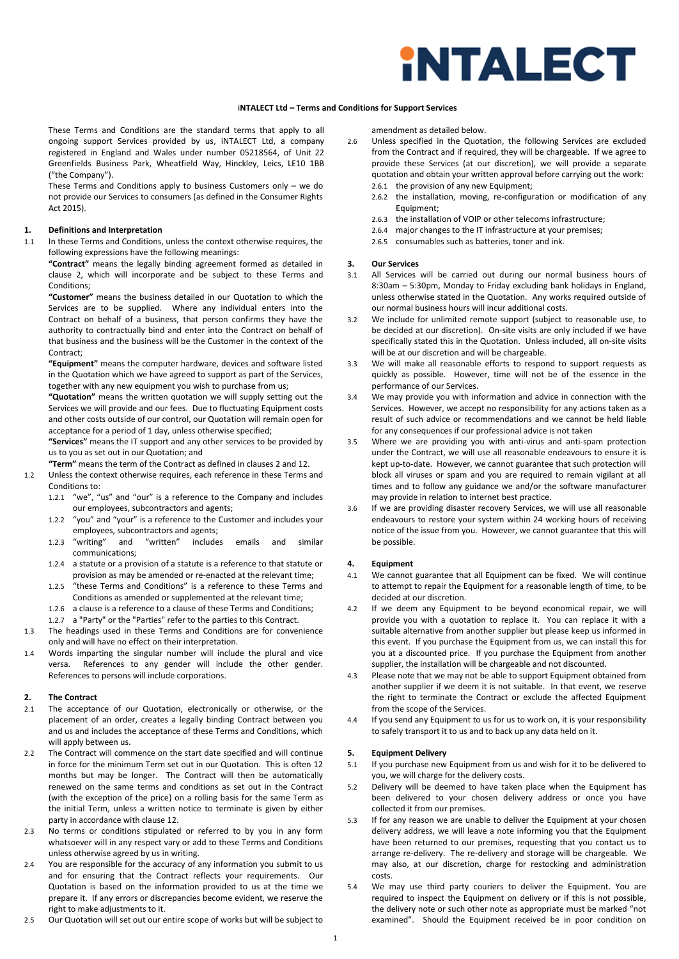

# i**NTALECT Ltd – Terms and Conditions for Support Services**

 These Terms and Conditions are the standard terms that apply to all ongoing support Services provided by us, iNTALECT Ltd, a company registered in England and Wales under number 05218564, of Unit 22 Greenfields Business Park, Wheatfield Way, Hinckley, Leics, LE10 1BB ("the Company").

These Terms and Conditions apply to business Customers only – we do not provide our Services to consumers (as defined in the Consumer Rights Act 2015).

# **1. Definitions and Interpretation**

1.1 In these Terms and Conditions, unless the context otherwise requires, the following expressions have the following meanings:

**"Contract"** means the legally binding agreement formed as detailed in clause 2, which will incorporate and be subject to these Terms and Conditions:

**"Customer"** means the business detailed in our Quotation to which the Services are to be supplied. Where any individual enters into the Contract on behalf of a business, that person confirms they have the authority to contractually bind and enter into the Contract on behalf of that business and the business will be the Customer in the context of the Contract;

**"Equipment"** means the computer hardware, devices and software listed in the Quotation which we have agreed to support as part of the Services, together with any new equipment you wish to purchase from us;

**"Quotation"** means the written quotation we will supply setting out the Services we will provide and our fees. Due to fluctuating Equipment costs and other costs outside of our control, our Quotation will remain open for acceptance for a period of 1 day, unless otherwise specified;

**"Services"** means the IT support and any other services to be provided by us to you as set out in our Quotation; and

- **"Term"** means the term of the Contract as defined in clauses 2 and 12. 1.2 Unless the context otherwise requires, each reference in these Terms and Conditions to:
	- 1.2.1 "we", "us" and "our" is a reference to the Company and includes our employees, subcontractors and agents;
	- 1.2.2 "you" and "your" is a reference to the Customer and includes your employees, subcontractors and agents;
	- 1.2.3 "writing" and "written" includes emails and similar communications;
	- 1.2.4 a statute or a provision of a statute is a reference to that statute or provision as may be amended or re-enacted at the relevant time;
	- 1.2.5 "these Terms and Conditions" is a reference to these Terms and Conditions as amended or supplemented at the relevant time;
	- 1.2.6 a clause is a reference to a clause of these Terms and Conditions;
	- 1.2.7 a "Party" or the "Parties" refer to the parties to this Contract.
- 1.3 The headings used in these Terms and Conditions are for convenience only and will have no effect on their interpretation.
- 1.4 Words imparting the singular number will include the plural and vice References to any gender will include the other gender. References to persons will include corporations.

# **2. The Contract**

- 2.1 The acceptance of our Quotation, electronically or otherwise, or the placement of an order, creates a legally binding Contract between you and us and includes the acceptance of these Terms and Conditions, which will apply between us.
- 2.2 The Contract will commence on the start date specified and will continue in force for the minimum Term set out in our Quotation. This is often 12 months but may be longer. The Contract will then be automatically renewed on the same terms and conditions as set out in the Contract (with the exception of the price) on a rolling basis for the same Term as the initial Term, unless a written notice to terminate is given by either party in accordance with clause 12.
- 2.3 No terms or conditions stipulated or referred to by you in any form whatsoever will in any respect vary or add to these Terms and Conditions unless otherwise agreed by us in writing.
- 2.4 You are responsible for the accuracy of any information you submit to us and for ensuring that the Contract reflects your requirements. Our Quotation is based on the information provided to us at the time we prepare it. If any errors or discrepancies become evident, we reserve the right to make adjustments to it.
- 2.5 Our Quotation will set out our entire scope of works but will be subject to

amendment as detailed below.

- 2.6 Unless specified in the Quotation, the following Services are excluded from the Contract and if required, they will be chargeable. If we agree to provide these Services (at our discretion), we will provide a separate quotation and obtain your written approval before carrying out the work: 2.6.1 the provision of any new Equipment;
	-
	- 2.6.2 the installation, moving, re-configuration or modification of any Equipment;
	- 2.6.3 the installation of VOIP or other telecoms infrastructure;
	- 2.6.4 major changes to the IT infrastructure at your premises;
	- 2.6.5 consumables such as batteries, toner and ink.

#### **3. Our Services**

- 3.1 All Services will be carried out during our normal business hours of 8:30am – 5:30pm, Monday to Friday excluding bank holidays in England, unless otherwise stated in the Quotation. Any works required outside of our normal business hours will incur additional costs.
- 3.2 We include for unlimited remote support (subject to reasonable use, to be decided at our discretion). On-site visits are only included if we have specifically stated this in the Quotation. Unless included, all on-site visits will be at our discretion and will be chargeable.
- 3.3 We will make all reasonable efforts to respond to support requests as quickly as possible. However, time will not be of the essence in the performance of our Services.
- 3.4 We may provide you with information and advice in connection with the Services. However, we accept no responsibility for any actions taken as a result of such advice or recommendations and we cannot be held liable for any consequences if our professional advice is not taken
- 3.5 Where we are providing you with anti-virus and anti-spam protection under the Contract, we will use all reasonable endeavours to ensure it is kept up-to-date. However, we cannot guarantee that such protection will block all viruses or spam and you are required to remain vigilant at all times and to follow any guidance we and/or the software manufacturer may provide in relation to internet best practice.
- 3.6 If we are providing disaster recovery Services, we will use all reasonable endeavours to restore your system within 24 working hours of receiving notice of the issue from you. However, we cannot guarantee that this will be possible.

### **4. Equipment**

- 4.1 We cannot guarantee that all Equipment can be fixed. We will continue to attempt to repair the Equipment for a reasonable length of time, to be decided at our discretion.
- 4.2 If we deem any Equipment to be beyond economical repair, we will provide you with a quotation to replace it. You can replace it with a suitable alternative from another supplier but please keep us informed in this event. If you purchase the Equipment from us, we can install this for you at a discounted price. If you purchase the Equipment from another supplier, the installation will be chargeable and not discounted.
- 4.3 Please note that we may not be able to support Equipment obtained from another supplier if we deem it is not suitable. In that event, we reserve the right to terminate the Contract or exclude the affected Equipment from the scope of the Services.
- 4.4 If you send any Equipment to us for us to work on, it is your responsibility to safely transport it to us and to back up any data held on it.

# **5. Equipment Delivery**

- 5.1 If you purchase new Equipment from us and wish for it to be delivered to you, we will charge for the delivery costs.
- 5.2 Delivery will be deemed to have taken place when the Equipment has been delivered to your chosen delivery address or once you have collected it from our premises.
- 5.3 If for any reason we are unable to deliver the Equipment at your chosen delivery address, we will leave a note informing you that the Equipment have been returned to our premises, requesting that you contact us to arrange re-delivery. The re-delivery and storage will be chargeable. We may also, at our discretion, charge for restocking and administration costs.
- 5.4 We may use third party couriers to deliver the Equipment. You are required to inspect the Equipment on delivery or if this is not possible, the delivery note or such other note as appropriate must be marked "not examined". Should the Equipment received be in poor condition on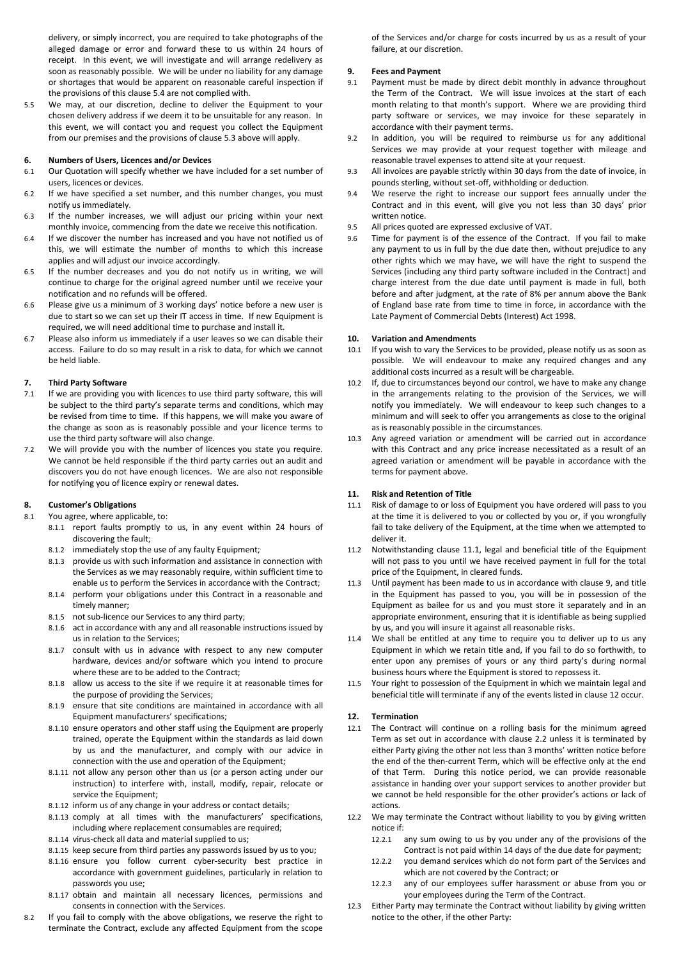delivery, or simply incorrect, you are required to take photographs of the alleged damage or error and forward these to us within 24 hours of receipt. In this event, we will investigate and will arrange redelivery as soon as reasonably possible. We will be under no liability for any damage or shortages that would be apparent on reasonable careful inspection if the provisions of this clause 5.4 are not complied with.

5.5 We may, at our discretion, decline to deliver the Equipment to your chosen delivery address if we deem it to be unsuitable for any reason. In this event, we will contact you and request you collect the Equipment from our premises and the provisions of clause 5.3 above will apply.

### **6. Numbers of Users, Licences and/or Devices**

- 6.1 Our Quotation will specify whether we have included for a set number of users, licences or devices.
- 6.2 If we have specified a set number, and this number changes, you must notify us immediately.
- 6.3 If the number increases, we will adjust our pricing within your next monthly invoice, commencing from the date we receive this notification.
- 6.4 If we discover the number has increased and you have not notified us of this, we will estimate the number of months to which this increase applies and will adjust our invoice accordingly.
- 6.5 If the number decreases and you do not notify us in writing, we will continue to charge for the original agreed number until we receive your notification and no refunds will be offered.
- 6.6 Please give us a minimum of 3 working days' notice before a new user is due to start so we can set up their IT access in time. If new Equipment is required, we will need additional time to purchase and install it.
- 6.7 Please also inform us immediately if a user leaves so we can disable their access. Failure to do so may result in a risk to data, for which we cannot be held liable.

### **7. Third Party Software**

- 7.1 If we are providing you with licences to use third party software, this will be subject to the third party's separate terms and conditions, which may be revised from time to time. If this happens, we will make you aware of the change as soon as is reasonably possible and your licence terms to use the third party software will also change.
- 7.2 We will provide you with the number of licences you state you require. We cannot be held responsible if the third party carries out an audit and discovers you do not have enough licences. We are also not responsible for notifying you of licence expiry or renewal dates.

# **8. Customer's Obligations**

8.1 You agree, where applicable, to:

- 8.1.1 report faults promptly to us, in any event within 24 hours of discovering the fault;
- 8.1.2 immediately stop the use of any faulty Equipment;
- 8.1.3 provide us with such information and assistance in connection with the Services as we may reasonably require, within sufficient time to enable us to perform the Services in accordance with the Contract;
- 8.1.4 perform your obligations under this Contract in a reasonable and timely manner;
- 8.1.5 not sub-licence our Services to any third party;
- 8.1.6 act in accordance with any and all reasonable instructions issued by us in relation to the Services;
- 8.1.7 consult with us in advance with respect to any new computer hardware, devices and/or software which you intend to procure where these are to be added to the Contract;
- 8.1.8 allow us access to the site if we require it at reasonable times for the purpose of providing the Services;
- 8.1.9 ensure that site conditions are maintained in accordance with all Equipment manufacturers' specifications;
- 8.1.10 ensure operators and other staff using the Equipment are properly trained, operate the Equipment within the standards as laid down by us and the manufacturer, and comply with our advice in connection with the use and operation of the Equipment;
- 8.1.11 not allow any person other than us (or a person acting under our instruction) to interfere with, install, modify, repair, relocate or service the Equipment;
- 8.1.12 inform us of any change in your address or contact details;
- 8.1.13 comply at all times with the manufacturers' specifications, including where replacement consumables are required;
- 8.1.14 virus-check all data and material supplied to us;
- 8.1.15 keep secure from third parties any passwords issued by us to you;
- 8.1.16 ensure you follow current cyber-security best practice in accordance with government guidelines, particularly in relation to passwords you use;
- 8.1.17 obtain and maintain all necessary licences, permissions and consents in connection with the Services.
- If you fail to comply with the above obligations, we reserve the right to terminate the Contract, exclude any affected Equipment from the scope

of the Services and/or charge for costs incurred by us as a result of your failure, at our discretion.

# **9. Fees and Payment**

- 9.1 Payment must be made by direct debit monthly in advance throughout the Term of the Contract. We will issue invoices at the start of each month relating to that month's support. Where we are providing third party software or services, we may invoice for these separately in accordance with their payment terms.
- 9.2 In addition, you will be required to reimburse us for any additional Services we may provide at your request together with mileage and reasonable travel expenses to attend site at your request.
- 9.3 All invoices are payable strictly within 30 days from the date of invoice, in pounds sterling, without set-off, withholding or deduction.
- 9.4 We reserve the right to increase our support fees annually under the Contract and in this event, will give you not less than 30 days' prior written notice.
- 9.5 All prices quoted are expressed exclusive of VAT.
- 9.6 Time for payment is of the essence of the Contract. If you fail to make any payment to us in full by the due date then, without prejudice to any other rights which we may have, we will have the right to suspend the Services (including any third party software included in the Contract) and charge interest from the due date until payment is made in full, both before and after judgment, at the rate of 8% per annum above the Bank of England base rate from time to time in force, in accordance with the Late Payment of Commercial Debts (Interest) Act 1998.

### **10. Variation and Amendments**

- 10.1 If you wish to vary the Services to be provided, please notify us as soon as possible. We will endeavour to make any required changes and any additional costs incurred as a result will be chargeable.
- 10.2 If, due to circumstances beyond our control, we have to make any change in the arrangements relating to the provision of the Services, we will notify you immediately. We will endeavour to keep such changes to a minimum and will seek to offer you arrangements as close to the original as is reasonably possible in the circumstances.
- 10.3 Any agreed variation or amendment will be carried out in accordance with this Contract and any price increase necessitated as a result of an agreed variation or amendment will be payable in accordance with the terms for payment above.

#### **11. Risk and Retention of Title**

- 11.1 Risk of damage to or loss of Equipment you have ordered will pass to you at the time it is delivered to you or collected by you or, if you wrongfully fail to take delivery of the Equipment, at the time when we attempted to deliver it.
- 11.2 Notwithstanding clause 11.1, legal and beneficial title of the Equipment will not pass to you until we have received payment in full for the total price of the Equipment, in cleared funds.
- 11.3 Until payment has been made to us in accordance with clause 9, and title in the Equipment has passed to you, you will be in possession of the Equipment as bailee for us and you must store it separately and in an appropriate environment, ensuring that it is identifiable as being supplied by us, and you will insure it against all reasonable risks.
- 11.4 We shall be entitled at any time to require you to deliver up to us any Equipment in which we retain title and, if you fail to do so forthwith, to enter upon any premises of yours or any third party's during normal business hours where the Equipment is stored to repossess it.
- Your right to possession of the Equipment in which we maintain legal and beneficial title will terminate if any of the events listed in clause 12 occur.

### **12. Termination**

- 12.1 The Contract will continue on a rolling basis for the minimum agreed Term as set out in accordance with clause 2.2 unless it is terminated by either Party giving the other not less than 3 months' written notice before the end of the then-current Term, which will be effective only at the end of that Term. During this notice period, we can provide reasonable assistance in handing over your support services to another provider but we cannot be held responsible for the other provider's actions or lack of actions.
- 12.2 We may terminate the Contract without liability to you by giving written notice if:
	- 12.2.1 any sum owing to us by you under any of the provisions of the Contract is not paid within 14 days of the due date for payment;
	- 12.2.2 you demand services which do not form part of the Services and which are not covered by the Contract; or
	- 12.2.3 any of our employees suffer harassment or abuse from you or your employees during the Term of the Contract.
- 12.3 Either Party may terminate the Contract without liability by giving written notice to the other, if the other Party: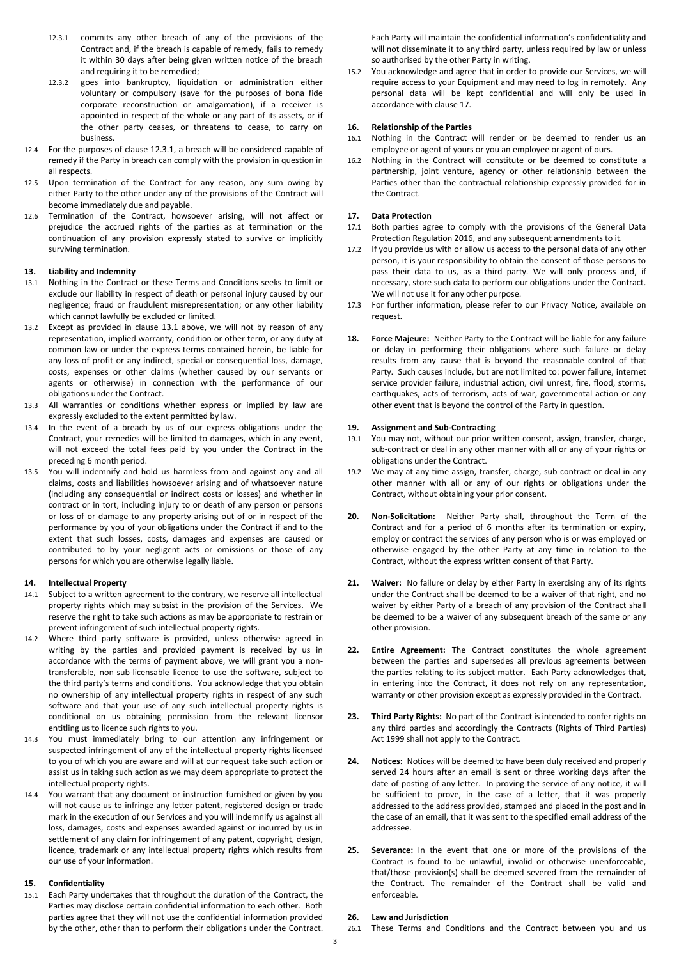- 12.3.1 commits any other breach of any of the provisions of the Contract and, if the breach is capable of remedy, fails to remedy it within 30 days after being given written notice of the breach and requiring it to be remedied;
- 12.3.2 goes into bankruptcy, liquidation or administration either voluntary or compulsory (save for the purposes of bona fide corporate reconstruction or amalgamation), if a receiver is appointed in respect of the whole or any part of its assets, or if the other party ceases, or threatens to cease, to carry on business.
- 12.4 For the purposes of clause 12.3.1, a breach will be considered capable of remedy if the Party in breach can comply with the provision in question in all respects.
- 12.5 Upon termination of the Contract for any reason, any sum owing by either Party to the other under any of the provisions of the Contract will become immediately due and payable.
- 12.6 Termination of the Contract, howsoever arising, will not affect or prejudice the accrued rights of the parties as at termination or the continuation of any provision expressly stated to survive or implicitly surviving termination.

### **13. Liability and Indemnity**

- 13.1 Nothing in the Contract or these Terms and Conditions seeks to limit or exclude our liability in respect of death or personal injury caused by our negligence; fraud or fraudulent misrepresentation; or any other liability which cannot lawfully be excluded or limited.
- 13.2 Except as provided in clause 13.1 above, we will not by reason of any representation, implied warranty, condition or other term, or any duty at common law or under the express terms contained herein, be liable for any loss of profit or any indirect, special or consequential loss, damage, costs, expenses or other claims (whether caused by our servants or agents or otherwise) in connection with the performance of our obligations under the Contract.
- 13.3 All warranties or conditions whether express or implied by law are expressly excluded to the extent permitted by law.
- 13.4 In the event of a breach by us of our express obligations under the Contract, your remedies will be limited to damages, which in any event, will not exceed the total fees paid by you under the Contract in the preceding 6 month period.
- 13.5 You will indemnify and hold us harmless from and against any and all claims, costs and liabilities howsoever arising and of whatsoever nature (including any consequential or indirect costs or losses) and whether in contract or in tort, including injury to or death of any person or persons or loss of or damage to any property arising out of or in respect of the performance by you of your obligations under the Contract if and to the extent that such losses, costs, damages and expenses are caused or contributed to by your negligent acts or omissions or those of any persons for which you are otherwise legally liable.

#### **14. Intellectual Property**

- 14.1 Subject to a written agreement to the contrary, we reserve all intellectual property rights which may subsist in the provision of the Services. We reserve the right to take such actions as may be appropriate to restrain or prevent infringement of such intellectual property rights.
- 14.2 Where third party software is provided, unless otherwise agreed in writing by the parties and provided payment is received by us in accordance with the terms of payment above, we will grant you a nontransferable, non-sub-licensable licence to use the software, subject to the third party's terms and conditions. You acknowledge that you obtain no ownership of any intellectual property rights in respect of any such software and that your use of any such intellectual property rights is conditional on us obtaining permission from the relevant licensor entitling us to licence such rights to you.
- 14.3 You must immediately bring to our attention any infringement or suspected infringement of any of the intellectual property rights licensed to you of which you are aware and will at our request take such action or assist us in taking such action as we may deem appropriate to protect the intellectual property rights.
- 14.4 You warrant that any document or instruction furnished or given by you will not cause us to infringe any letter patent, registered design or trade mark in the execution of our Services and you will indemnify us against all loss, damages, costs and expenses awarded against or incurred by us in settlement of any claim for infringement of any patent, copyright, design, licence, trademark or any intellectual property rights which results from our use of your information.

### **15. Confidentiality**

15.1 Each Party undertakes that throughout the duration of the Contract, the Parties may disclose certain confidential information to each other. Both parties agree that they will not use the confidential information provided by the other, other than to perform their obligations under the Contract.

Each Party will maintain the confidential information's confidentiality and will not disseminate it to any third party, unless required by law or unless so authorised by the other Party in writing.

15.2 You acknowledge and agree that in order to provide our Services, we will require access to your Equipment and may need to log in remotely. Any personal data will be kept confidential and will only be used in accordance with clause 17.

### **16. Relationship of the Parties**

- 16.1 Nothing in the Contract will render or be deemed to render us an employee or agent of yours or you an employee or agent of ours.
- 16.2 Nothing in the Contract will constitute or be deemed to constitute a partnership, joint venture, agency or other relationship between the Parties other than the contractual relationship expressly provided for in the Contract.

# **17. Data Protection**

- 17.1 Both parties agree to comply with the provisions of the General Data Protection Regulation 2016, and any subsequent amendments to it.
- 17.2 If you provide us with or allow us access to the personal data of any other person, it is your responsibility to obtain the consent of those persons to pass their data to us, as a third party. We will only process and, if necessary, store such data to perform our obligations under the Contract. We will not use it for any other purpose.
- 17.3 For further information, please refer to our Privacy Notice, available on request.
- **18. Force Majeure:** Neither Party to the Contract will be liable for any failure or delay in performing their obligations where such failure or delay results from any cause that is beyond the reasonable control of that Party. Such causes include, but are not limited to: power failure, internet service provider failure, industrial action, civil unrest, fire, flood, storms, earthquakes, acts of terrorism, acts of war, governmental action or any other event that is beyond the control of the Party in question.

# **19. Assignment and Sub-Contracting**

- 19.1 You may not, without our prior written consent, assign, transfer, charge, sub-contract or deal in any other manner with all or any of your rights or obligations under the Contract.
- 19.2 We may at any time assign, transfer, charge, sub-contract or deal in any other manner with all or any of our rights or obligations under the Contract, without obtaining your prior consent.
- **20. Non-Solicitation:** Neither Party shall, throughout the Term of the Contract and for a period of 6 months after its termination or expiry, employ or contract the services of any person who is or was employed or otherwise engaged by the other Party at any time in relation to the Contract, without the express written consent of that Party.
- **21. Waiver:** No failure or delay by either Party in exercising any of its rights under the Contract shall be deemed to be a waiver of that right, and no waiver by either Party of a breach of any provision of the Contract shall be deemed to be a waiver of any subsequent breach of the same or any other provision.
- **22. Entire Agreement:** The Contract constitutes the whole agreement between the parties and supersedes all previous agreements between the parties relating to its subject matter. Each Party acknowledges that, in entering into the Contract, it does not rely on any representation, warranty or other provision except as expressly provided in the Contract.
- **23. Third Party Rights:** No part of the Contract is intended to confer rights on any third parties and accordingly the Contracts (Rights of Third Parties) Act 1999 shall not apply to the Contract.
- **24. Notices:** Notices will be deemed to have been duly received and properly served 24 hours after an email is sent or three working days after the date of posting of any letter. In proving the service of any notice, it will be sufficient to prove, in the case of a letter, that it was properly addressed to the address provided, stamped and placed in the post and in the case of an email, that it was sent to the specified email address of the addressee.
- **25. Severance:** In the event that one or more of the provisions of the Contract is found to be unlawful, invalid or otherwise unenforceable, that/those provision(s) shall be deemed severed from the remainder of the Contract. The remainder of the Contract shall be valid and enforceable.

# **26. Law and Jurisdiction**

26.1 These Terms and Conditions and the Contract between you and us